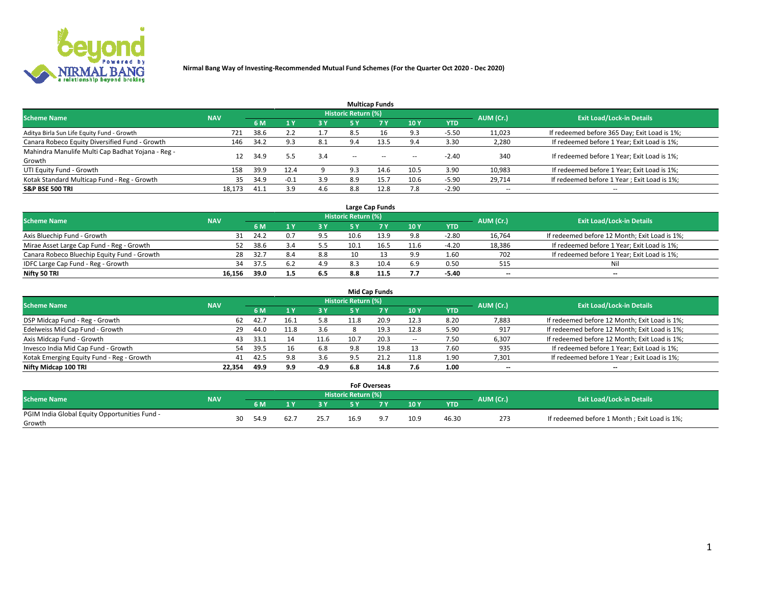

|                                                   |            |      |                |           |                            | <b>Multicap Funds</b>                          |                          |         |                          |                                              |
|---------------------------------------------------|------------|------|----------------|-----------|----------------------------|------------------------------------------------|--------------------------|---------|--------------------------|----------------------------------------------|
| <b>Scheme Name</b>                                | <b>NAV</b> |      |                |           | <b>Historic Return (%)</b> |                                                |                          |         | AUM (Cr.)                | <b>Exit Load/Lock-in Details</b>             |
|                                                   |            | 6 M  | 4 <sup>v</sup> | <b>3Y</b> | <b>5 Y</b>                 | <b>7Y</b>                                      | 10Y                      | YTD     |                          |                                              |
| Aditya Birla Sun Life Equity Fund - Growth        | 721        | 38.6 | 2.2            |           | 8.5                        |                                                | 9.3                      | $-5.50$ | 11,023                   | If redeemed before 365 Day; Exit Load is 1%; |
| Canara Robeco Equity Diversified Fund - Growth    | 146        | 34.2 | 9.3            | 8.1       | 9.4                        | 13.5                                           | 9.4                      | 3.30    | 2,280                    | If redeemed before 1 Year; Exit Load is 1%;  |
| Mahindra Manulife Multi Cap Badhat Yojana - Reg - | 12         | 34.9 | 5.5            | 3.4       | $\sim$                     | $\hspace{0.1mm}-\hspace{0.1mm}-\hspace{0.1mm}$ |                          | $-2.40$ | 340                      | If redeemed before 1 Year; Exit Load is 1%;  |
| Growth                                            |            |      |                |           |                            |                                                | $\overline{\phantom{a}}$ |         |                          |                                              |
| UTI Equity Fund - Growth                          | 158        | 39.9 | 12.4           |           | 9.3                        | 14.6                                           | 10.5                     | 3.90    | 10,983                   | If redeemed before 1 Year; Exit Load is 1%;  |
| Kotak Standard Multicap Fund - Reg - Growth       | 35         | 34.9 | $-0.1$         | 3.9       | 8.9                        | 15.7                                           | 10.6                     | $-5.90$ | 29,714                   | If redeemed before 1 Year; Exit Load is 1%;  |
| <b>S&amp;P BSE 500 TRI</b>                        | 18.173     | 41.1 | 3.9            | 4.6       | 8.8                        | 12.8                                           | 7.8                      | $-2.90$ | $\overline{\phantom{a}}$ | $\overline{\phantom{a}}$                     |

|                                             |            |      |     |     |                     | Large Cap Funds |      |            |           |                                               |
|---------------------------------------------|------------|------|-----|-----|---------------------|-----------------|------|------------|-----------|-----------------------------------------------|
| <b>Scheme Name</b>                          | <b>NAV</b> |      |     |     | Historic Return (%) |                 |      |            | AUM (Cr.) | <b>Exit Load/Lock-in Details</b>              |
|                                             |            | 6 M  |     | 3 Y | 5 ۷                 |                 | 10Y  | <b>YTD</b> |           |                                               |
| Axis Bluechip Fund - Growth                 | 31         | 24.2 | 0.7 | 9.5 | 10.6                | 13.9            | 9.8  | $-2.80$    | 16,764    | If redeemed before 12 Month; Exit Load is 1%; |
| Mirae Asset Large Cap Fund - Reg - Growth   |            | 38.6 |     | 5.5 | 10.1                |                 | 11.6 | $-4.20$    | 18,386    | If redeemed before 1 Year; Exit Load is 1%;   |
| Canara Robeco Bluechip Equity Fund - Growth | 28         | 32.7 | 8.4 | 8.8 |                     |                 | 9.9  | 1.60       | 702       | If redeemed before 1 Year; Exit Load is 1%;   |
| IDFC Large Cap Fund - Reg - Growth          | 34         | 37.5 | 6.2 | 4.9 | 8.3                 | 10.4            | 6.9  | 0.50       | 515       | Nil                                           |
| Nifty 50 TRI                                | 16.156     | 39.0 | 1.5 | 6.5 | 8.8                 |                 | 7.7  | -5.40      | $- -$     | $- -$                                         |

|                                           |            |      |      |        |                     | <b>Mid Cap Funds</b> |                          |            |                          |                                               |
|-------------------------------------------|------------|------|------|--------|---------------------|----------------------|--------------------------|------------|--------------------------|-----------------------------------------------|
| <b>Scheme Name</b>                        | <b>NAV</b> |      |      |        | Historic Return (%) |                      |                          |            | AUM (Cr.)                | <b>Exit Load/Lock-in Details</b>              |
|                                           |            | 6 M  |      | 73 Y   | 5 Y                 |                      | 10Y                      | <b>YTD</b> |                          |                                               |
| DSP Midcap Fund - Reg - Growth            | 62         | 42.7 |      | 5.8    |                     | 20.9                 | 12.3                     | 8.20       | 7,883                    | If redeemed before 12 Month; Exit Load is 1%; |
| Edelweiss Mid Cap Fund - Growth           | 29         | 44.0 | 11.8 | 3.6    |                     | 19.3                 | 12.8                     | 5.90       | 917                      | If redeemed before 12 Month; Exit Load is 1%; |
| Axis Midcap Fund - Growth                 | 43         | 33.1 |      | 11.6   | 10.7                | 20.3                 | $\overline{\phantom{a}}$ | 7.50       | 6,307                    | If redeemed before 12 Month; Exit Load is 1%; |
| Invesco India Mid Cap Fund - Growth       | 54         | 39.5 | 16   | 6.8    | 9.8                 | 19.8                 |                          | 7.60       | 935                      | If redeemed before 1 Year; Exit Load is 1%;   |
| Kotak Emerging Equity Fund - Reg - Growth | 41         | 42.5 | 9.8  | 3.6    | 9.5                 |                      | 11.8                     | 1.90       | 7,301                    | If redeemed before 1 Year; Exit Load is 1%;   |
| Nifty Midcap 100 TRI                      | 22.354     | 49.9 | 9.9  | $-0.9$ | 6.8                 | 14.8                 | 7.6                      | 1.00       | $\overline{\phantom{a}}$ | $\overline{\phantom{a}}$                      |

|                                               |            |    |      |      |      | <b>FoF Overseas</b> |                |      |            |           |                                              |
|-----------------------------------------------|------------|----|------|------|------|---------------------|----------------|------|------------|-----------|----------------------------------------------|
| <b>Scheme Name</b>                            | <b>NAV</b> |    |      |      |      | Historic Return (%) |                |      |            | AUM (Cr.) | <b>Exit Load/Lock-in Details</b>             |
|                                               |            |    | 6 M  |      |      | <b>EV</b>           | 7 <sub>2</sub> | 10Y  | <b>YTD</b> |           |                                              |
| PGIM India Global Equity Opportunities Fund - |            | 30 |      |      |      |                     | - Q            |      |            |           |                                              |
| Growth                                        |            |    | 54.9 | 62.7 | 25.7 | 16.9                |                | 10.9 | 46.30      | 273       | If redeemed before 1 Month; Exit Load is 1%; |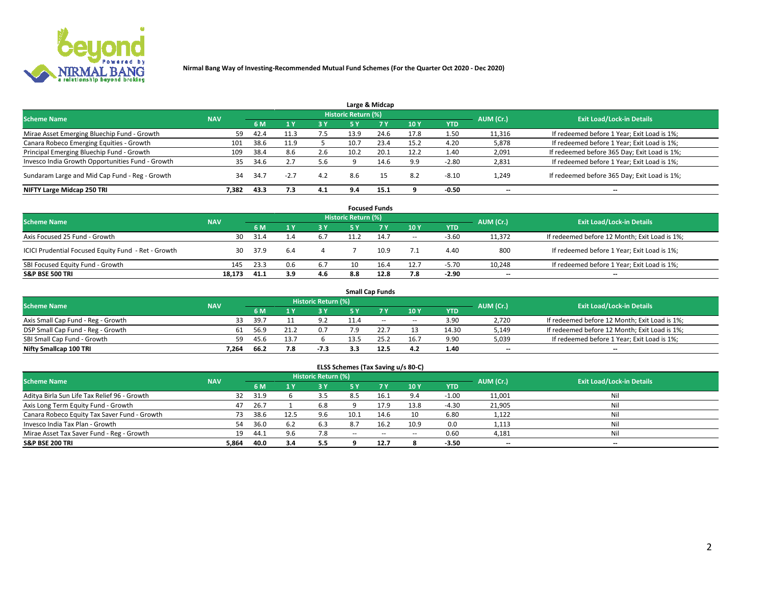

|                                                  |            |      |        |     |                     | Large & Midcap |      |            |                          |                                              |
|--------------------------------------------------|------------|------|--------|-----|---------------------|----------------|------|------------|--------------------------|----------------------------------------------|
| <b>Scheme Name</b>                               | <b>NAV</b> |      |        |     | Historic Return (%) |                |      |            | AUM (Cr.)                | <b>Exit Load/Lock-in Details</b>             |
|                                                  |            | 6 M  |        | 3V  | <b>5 Y</b>          | 7Y             | 10Y  | <b>YTD</b> |                          |                                              |
| Mirae Asset Emerging Bluechip Fund - Growth      | 59         | 42.4 |        | 7.5 | 13.9                | 24.6           | 17.8 | 1.50       | 11,316                   | If redeemed before 1 Year; Exit Load is 1%;  |
| Canara Robeco Emerging Equities - Growth         | 101        | 38.6 | 11.9   |     | 10.7                | 23.4           | 15.2 | 4.20       | 5,878                    | If redeemed before 1 Year; Exit Load is 1%;  |
| Principal Emerging Bluechip Fund - Growth        | 109        | 38.4 | 8.6    | 2.6 | 10.2                | 20.1           | 12.2 | 1.40       | 2,091                    | If redeemed before 365 Day; Exit Load is 1%; |
| Invesco India Growth Opportunities Fund - Growth | 35         | 34.6 |        | 5.6 |                     | 14.6           | 9.9  | $-2.80$    | 2,831                    | If redeemed before 1 Year; Exit Load is 1%;  |
| Sundaram Large and Mid Cap Fund - Reg - Growth   | 34         | 34.7 | $-2.7$ | 4.2 | 8.6                 | 15             | 8.2  | $-8.10$    | 1,249                    | If redeemed before 365 Day; Exit Load is 1%; |
| NIFTY Large Midcap 250 TRI                       | 7.382      | 43.3 | 7.3    | 4.1 | 9.4                 | 15.1           |      | $-0.50$    | $\overline{\phantom{a}}$ | --                                           |

|                                                     |            |      |     |       |                            | <b>Focused Funds</b> |       |            |                          |                                               |
|-----------------------------------------------------|------------|------|-----|-------|----------------------------|----------------------|-------|------------|--------------------------|-----------------------------------------------|
| <b>Scheme Name</b>                                  | <b>NAV</b> |      |     |       | <b>Historic Return (%)</b> |                      |       |            | AUM (Cr.)                | <b>Exit Load/Lock-in Details</b>              |
|                                                     |            | 6 M  |     | 73 Y. | 5 Y                        | <b>7Y</b>            | 10 Y  | <b>YTD</b> |                          |                                               |
| Axis Focused 25 Fund - Growth                       | 30         | 31.4 | 1.4 | 6.7   | 11.2                       | 14.7                 | $\!-$ | $-3.60$    | 11.372                   | If redeemed before 12 Month; Exit Load is 1%; |
| ICICI Prudential Focused Equity Fund - Ret - Growth | 30         | 37.9 | 6.4 |       |                            | 10.9                 | 7.1   | 4.40       | -800                     | If redeemed before 1 Year; Exit Load is 1%;   |
| SBI Focused Equity Fund - Growth                    | 145        | 23.3 | 0.6 | 6.7   | 10                         | 16.4                 | 12.7  | $-5.70$    | 10,248                   | If redeemed before 1 Year; Exit Load is 1%;   |
| <b>S&amp;P BSE 500 TRI</b>                          | 18.173     | 41.1 | 3.9 | 4.6   | 8.8                        | 12.8                 | 7.8   | -2.90      | $\overline{\phantom{m}}$ | $- -$                                         |

|                                    |            |      |     |                            |      | <b>Small Cap Funds</b> |                          |       |           |                                               |
|------------------------------------|------------|------|-----|----------------------------|------|------------------------|--------------------------|-------|-----------|-----------------------------------------------|
| <b>Scheme Name</b>                 | <b>NAV</b> |      |     | <b>Historic Return (%)</b> |      |                        |                          |       | AUM (Cr.) | <b>Exit Load/Lock-in Details</b>              |
|                                    |            | 6 M  |     | 2 V                        |      |                        | 10Y                      | YTD   |           |                                               |
| Axis Small Cap Fund - Reg - Growth | 33         | 39.7 |     |                            |      | $-$                    | $\overline{\phantom{a}}$ | 3.90  | 2,720     | If redeemed before 12 Month; Exit Load is 1%; |
| DSP Small Cap Fund - Reg - Growth  | 61         | 56.9 | 21. |                            |      |                        |                          | 14.30 | 5,149     | If redeemed before 12 Month; Exit Load is 1%; |
| SBI Small Cap Fund - Growth        | 59         | 45.6 | 13. |                            | 13.5 |                        | 16.7                     | 9.90  | 5,039     | If redeemed before 1 Year; Exit Load is 1%;   |
| Nifty Smallcap 100 TRI             | 7.264      | 66.2 | 7.8 | $-7.3$                     |      | 12.5                   | 4.2                      | 1.40  | $- -$     | $\overline{\phantom{a}}$                      |

|       |            |      |     |        |                            |        |            |                          | <b>Exit Load/Lock-in Details</b> |
|-------|------------|------|-----|--------|----------------------------|--------|------------|--------------------------|----------------------------------|
|       | 6 M        |      | 3 Y |        | <b>7 Y.</b>                | 10Y    | <b>YTD</b> |                          |                                  |
| 32    | 31.9       |      | 3.5 | 8.5    | 16.1                       | 9.4    | $-1.00$    | 11,001                   | Ni                               |
| 47    | 26.7       |      | 6.8 |        | 17.9                       | 13.8   | $-4.30$    | 21,905                   | Ni                               |
| 73.   | 38.6       | 12.5 | 9.6 | 10.1   | 14.6                       | 10     | 6.80       | 1,122                    | Ni                               |
| 54    | 36.0       | 6.2  | 6.3 | 8.7    | 16.2                       | 10.9   | 0.0        | 1,113                    | Ni                               |
| 19    | 44.1       | 9.6  | 7.8 | $\sim$ | $\sim$                     | $\sim$ | 0.60       | 4,181                    | Ni                               |
| 5,864 | 40.0       | 3.4  | 5.5 |        | 12.7                       |        | $-3.50$    | $\overline{\phantom{a}}$ | $-$                              |
|       | <b>NAV</b> |      |     |        | <b>Historic Return (%)</b> |        |            |                          | AUM (Cr.)                        |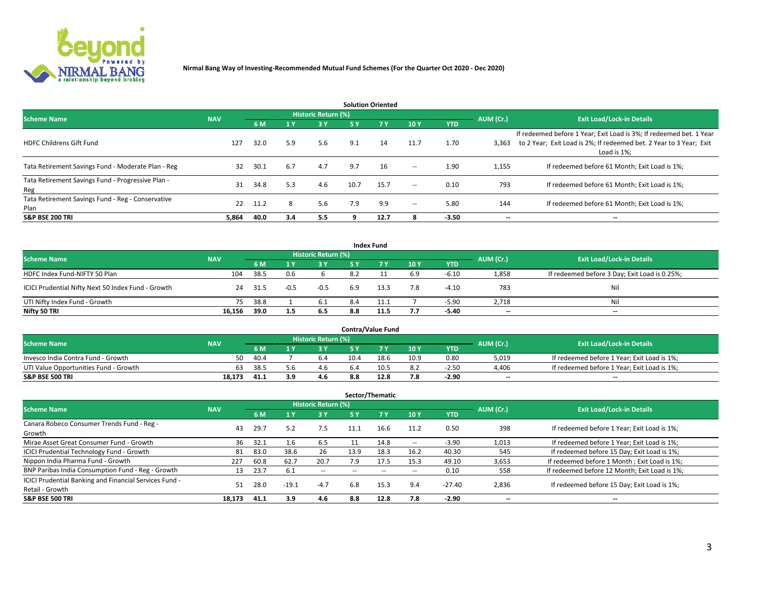

| <b>Solution Oriented</b>                                  |            |      |                       |                     |      |            |                          |            |                          |                                                                                                                                                           |  |  |  |
|-----------------------------------------------------------|------------|------|-----------------------|---------------------|------|------------|--------------------------|------------|--------------------------|-----------------------------------------------------------------------------------------------------------------------------------------------------------|--|--|--|
| <b>Scheme Name</b>                                        | <b>NAV</b> |      |                       | Historic Return (%) |      |            |                          |            | AUM (Cr.)                | <b>Exit Load/Lock-in Details</b>                                                                                                                          |  |  |  |
|                                                           |            | 6 M  | $\sqrt{1}$ $\sqrt{7}$ | 3 Y                 | 5 Y  | <b>7 Y</b> | 10Y                      | <b>YTD</b> |                          |                                                                                                                                                           |  |  |  |
| <b>HDFC Childrens Gift Fund</b>                           | 127        | 32.0 | 5.9                   | 5.6                 | 9.1  | 14         | 11.7                     | 1.70       | 3,363                    | If redeemed before 1 Year; Exit Load is 3%; If redeemed bet. 1 Year<br>to 2 Year; Exit Load is 2%; If redeemed bet. 2 Year to 3 Year; Exit<br>Load is 1%; |  |  |  |
| Tata Retirement Savings Fund - Moderate Plan - Reg        | 32         | 30.1 | 6.7                   | 4.7                 | 9.7  | 16         | $\overline{\phantom{a}}$ | 1.90       | 1,155                    | If redeemed before 61 Month; Exit Load is 1%;                                                                                                             |  |  |  |
| Tata Retirement Savings Fund - Progressive Plan -<br>Reg  | 31         | 34.8 | 5.3                   | 4.6                 | 10.7 | 15.7       | $\overline{\phantom{a}}$ | 0.10       | 793                      | If redeemed before 61 Month: Exit Load is 1%:                                                                                                             |  |  |  |
| Tata Retirement Savings Fund - Reg - Conservative<br>Plan | 22         | 11.2 | 8                     | 5.6                 | 7.9  | 9.9        | $\overline{\phantom{a}}$ | 5.80       | 144                      | If redeemed before 61 Month; Exit Load is 1%;                                                                                                             |  |  |  |
| <b>S&amp;P BSE 200 TRI</b>                                | 5,864      | 40.0 | 3.4                   | 5.5                 |      | 12.7       |                          | $-3.50$    | $\overline{\phantom{a}}$ | $\overline{\phantom{a}}$                                                                                                                                  |  |  |  |

|                                                    |            |      |        |                            |     | <b>Index Fund</b> |     |            |           |                                               |
|----------------------------------------------------|------------|------|--------|----------------------------|-----|-------------------|-----|------------|-----------|-----------------------------------------------|
| <b>Scheme Name</b>                                 | <b>NAV</b> |      |        | <b>Historic Return (%)</b> |     |                   |     |            | AUM (Cr.) | <b>Exit Load/Lock-in Details</b>              |
|                                                    |            | 6 M  |        | <b>3Y</b>                  | 5 Y | <b>7 Y</b>        | 10Y | <b>YTD</b> |           |                                               |
| HDFC Index Fund-NIFTY 50 Plan                      | 104        | 38.5 | 0.6    |                            | 8.2 |                   | 6.9 | $-6.10$    | 1,858     | If redeemed before 3 Day; Exit Load is 0.25%; |
| ICICI Prudential Nifty Next 50 Index Fund - Growth | 24         | 31.5 | $-0.5$ | $-0.5$                     | 6.9 | 13.3              | 7.8 | $-4.10$    | 783       | Nil                                           |
| UTI Nifty Index Fund - Growth                      | 75         | 38.8 |        | 6.1                        | 8.4 | 11.1              |     | $-5.90$    | 2,718     | Nil                                           |
| Nifty 50 TRI                                       | 16.156     | 39.0 | 1.5    | 6.5                        | 8.8 | 11.5              | 7.7 | -5.40      | $- -$     | $-$                                           |

| <b>Contra/Value Fund</b>              |            |      |     |                     |      |      |      |            |           |                                             |  |  |
|---------------------------------------|------------|------|-----|---------------------|------|------|------|------------|-----------|---------------------------------------------|--|--|
| <b>Scheme Name</b>                    | <b>NAV</b> |      |     | Historic Return (%) |      |      |      |            | AUM (Cr.) | <b>Exit Load/Lock-in Details</b>            |  |  |
|                                       |            | 6 M  |     | 3 Y                 |      | 7 V  | 10Y  | <b>YTD</b> |           |                                             |  |  |
| Invesco India Contra Fund - Growth    | 50         | 40.4 |     | 6.4                 | 10.4 | 18.6 | 10.9 | 0.80       | 5,019     | If redeemed before 1 Year; Exit Load is 1%; |  |  |
| UTI Value Opportunities Fund - Growth | 63         | 38.5 |     | 4.6                 | h.4  | 10.5 | 8.2  | $-2.50$    | 4,406     | If redeemed before 1 Year; Exit Load is 1%; |  |  |
| <b>S&amp;P BSE 500 TRI</b>            | 18.173     | 41.1 | 3.9 | 4.6                 | 8.8  | 12.8 | 7.8  | $-2.90$    | $- -$     | $-$                                         |  |  |

| Sector/Thematic                                        |            |      |                       |                     |           |        |      |            |           |                                               |  |  |
|--------------------------------------------------------|------------|------|-----------------------|---------------------|-----------|--------|------|------------|-----------|-----------------------------------------------|--|--|
| <b>Scheme Name</b>                                     | <b>NAV</b> |      |                       | Historic Return (%) |           |        |      |            | AUM (Cr.) | <b>Exit Load/Lock-in Details</b>              |  |  |
|                                                        |            | 6 M  | $\sqrt{1}$ $\sqrt{2}$ | 3Y                  | <b>5Y</b> | 7 Y    | 10Y  | <b>YTD</b> |           |                                               |  |  |
| Canara Robeco Consumer Trends Fund - Reg -             | 43         | 29.7 | 5.2                   | 7.5                 | 11.1      | 16.6   | 11.2 | 0.50       | 398       | If redeemed before 1 Year; Exit Load is 1%;   |  |  |
| Growth                                                 |            |      |                       |                     |           |        |      |            |           |                                               |  |  |
| Mirae Asset Great Consumer Fund - Growth               | 36         | 32.1 | 1.6                   | 6.5                 |           | 14.8   | --   | $-3.90$    | 1,013     | If redeemed before 1 Year; Exit Load is 1%;   |  |  |
| ICICI Prudential Technology Fund - Growth              | 81         | 83.0 | 38.6                  | 26                  | 13.9      | 18.3   | 16.2 | 40.30      | 545       | If redeemed before 15 Day; Exit Load is 1%;   |  |  |
| Nippon India Pharma Fund - Growth                      | 227        | 60.8 | 62.7                  | 20.7                | 7.9       | 17.5   | 15.3 | 49.10      | 3,653     | If redeemed before 1 Month; Exit Load is 1%;  |  |  |
| BNP Paribas India Consumption Fund - Reg - Growth      | 13         | 23.7 | 6.1                   | $\sim$              | --        | $\sim$ | --   | 0.10       | 558       | If redeemed before 12 Month; Exit Load is 1%; |  |  |
| ICICI Prudential Banking and Financial Services Fund - | 51         | 28.0 | $-19.1$               | $-4.7$              | 6.8       | 15.3   | 9.4  | $-27.40$   | 2,836     | If redeemed before 15 Day; Exit Load is 1%;   |  |  |
| Retail - Growth                                        |            |      |                       |                     |           |        |      |            |           |                                               |  |  |
| <b>S&amp;P BSE 500 TRI</b>                             | 18.173     | 41.1 | 3.9                   | 4.6                 | 8.8       | 12.8   | 7.8  | $-2.90$    | --        | $- -$                                         |  |  |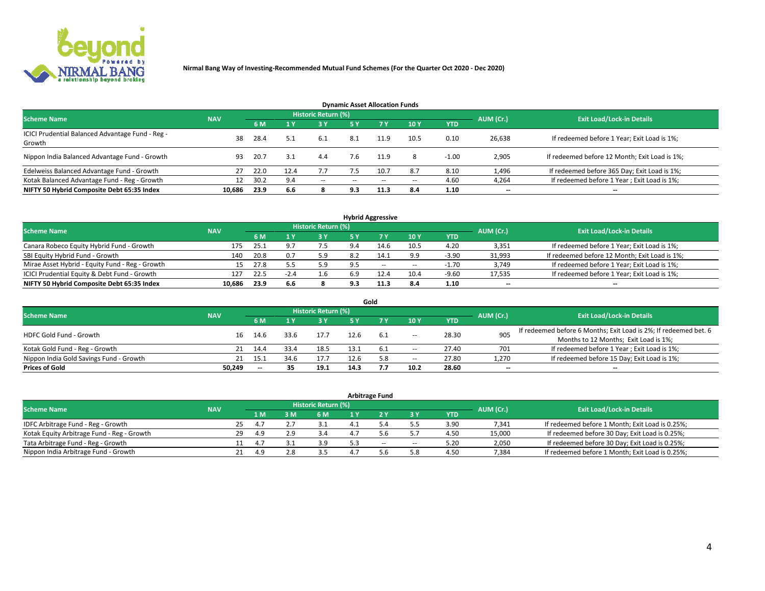

| <b>Dynamic Asset Allocation Funds</b>                      |            |      |      |                     |           |           |       |            |           |                                               |  |  |  |
|------------------------------------------------------------|------------|------|------|---------------------|-----------|-----------|-------|------------|-----------|-----------------------------------------------|--|--|--|
| <b>Scheme Name</b>                                         | <b>NAV</b> |      |      | Historic Return (%) |           |           |       |            | AUM (Cr.) | <b>Exit Load/Lock-in Details</b>              |  |  |  |
|                                                            |            | 6 M  |      | <b>3Y</b>           | <b>5Y</b> | <b>7Y</b> | 10Y   | <b>YTD</b> |           |                                               |  |  |  |
| ICICI Prudential Balanced Advantage Fund - Reg -<br>Growth | 38         | 28.4 | 5.1  | 6.1                 | 8.1       | 11.9      | 10.5  | 0.10       | 26,638    | If redeemed before 1 Year; Exit Load is 1%;   |  |  |  |
| Nippon India Balanced Advantage Fund - Growth              | 93         | 20.7 | 3.1  | 4.4                 | 7.6       | 11.9      | 8     | $-1.00$    | 2,905     | If redeemed before 12 Month; Exit Load is 1%; |  |  |  |
| Edelweiss Balanced Advantage Fund - Growth                 | 27         | 22.0 | 12.4 | 7.7                 | 7.5       | 10.7      | 8.7   | 8.10       | 1,496     | If redeemed before 365 Day; Exit Load is 1%;  |  |  |  |
| Kotak Balanced Advantage Fund - Reg - Growth               | 12         | 30.2 | 9.4  | $\sim$              | --        | $\sim$    | $- -$ | 4.60       | 4,264     | If redeemed before 1 Year; Exit Load is 1%;   |  |  |  |
| NIFTY 50 Hybrid Composite Debt 65:35 Index                 | 10.686     | 23.9 | 6.6  |                     | 9.3       | 11.3      | 8.4   | 1.10       | --        | --                                            |  |  |  |

| <b>Hybrid Aggressive</b>                        |            |           |                                  |            |     |       |        |            |        |                                               |  |  |  |
|-------------------------------------------------|------------|-----------|----------------------------------|------------|-----|-------|--------|------------|--------|-----------------------------------------------|--|--|--|
| <b>Scheme Name</b>                              | <b>NAV</b> | AUM (Cr.) | <b>Exit Load/Lock-in Details</b> |            |     |       |        |            |        |                                               |  |  |  |
|                                                 |            | 6 M       |                                  | <b>3 Y</b> | 5 ۷ |       | 10Y    | <b>YTD</b> |        |                                               |  |  |  |
| Canara Robeco Equity Hybrid Fund - Growth       | 175        | 25.1      | . ባ 7                            | 7.5        | 9.4 | 14.6  | 10.5   | 4.20       | 3,351  | If redeemed before 1 Year; Exit Load is 1%;   |  |  |  |
| SBI Equity Hybrid Fund - Growth                 | 140        | 20.8      | 0.7                              | 5.9        | 8.2 | 14.1  | 9.9    | $-3.90$    | 31,993 | If redeemed before 12 Month; Exit Load is 1%; |  |  |  |
| Mirae Asset Hybrid - Equity Fund - Reg - Growth | 15         | 27.8      |                                  | 5.9        | 9.5 | $- -$ | $\sim$ | $-1.70$    | 3,749  | If redeemed before 1 Year; Exit Load is 1%;   |  |  |  |
| ICICI Prudential Equity & Debt Fund - Growth    | 127        | 22.5      | $-2.4$                           | 1.6        | 6.9 | 12.4  | 10.4   | $-9.60$    | 17,535 | If redeemed before 1 Year; Exit Load is 1%;   |  |  |  |
| NIFTY 50 Hybrid Composite Debt 65:35 Index      | 10.686     | 23.9      | 6.6                              |            | 9.3 | 11.3  | 8.4    | 1.10       | $- -$  | $\overline{\phantom{a}}$                      |  |  |  |

|                                         |            |                          |      |                     |      | Gold |                          |            |                          |                                                                  |
|-----------------------------------------|------------|--------------------------|------|---------------------|------|------|--------------------------|------------|--------------------------|------------------------------------------------------------------|
| <b>Scheme Name</b>                      | <b>NAV</b> |                          |      | Historic Return (%) |      |      |                          |            | AUM (Cr.)                | <b>Exit Load/Lock-in Details</b>                                 |
|                                         |            | 6 M                      |      | 73 V.               | 5٧   |      | 10Y                      | <b>YTD</b> |                          |                                                                  |
| HDFC Gold Fund - Growth                 | 16         | 14.6                     | 33.6 | 17.7                |      |      |                          | 28.30      | 905                      | If redeemed before 6 Months; Exit Load is 2%; If redeemed bet. 6 |
|                                         |            |                          |      |                     |      | 6.1  | $\overline{\phantom{a}}$ |            |                          | Months to 12 Months; Exit Load is 1%;                            |
| Kotak Gold Fund - Reg - Growth          |            | 14.4                     | 33.4 | 18.5                |      | -6.1 | $\overline{\phantom{a}}$ | 27.40      | 701                      | If redeemed before 1 Year; Exit Load is 1%;                      |
| Nippon India Gold Savings Fund - Growth | 21         | 15.1                     | 34.6 | 17.7                | 12.6 | 5.8  | $\overline{\phantom{a}}$ | 27.80      | 1,270                    | If redeemed before 15 Day; Exit Load is 1%;                      |
| <b>Prices of Gold</b>                   | 50.249     | $\overline{\phantom{a}}$ | 35   | 19.1                | 14.3 |      | 10.2                     | 28.60      | $\overline{\phantom{a}}$ | $\overline{\phantom{m}}$                                         |

| <b>Arbitrage Fund</b>                      |            |                                  |     |  |     |     |     |       |            |        |                                                 |  |  |  |
|--------------------------------------------|------------|----------------------------------|-----|--|-----|-----|-----|-------|------------|--------|-------------------------------------------------|--|--|--|
| <b>Scheme Name</b>                         | AUM (Cr.)  | <b>Exit Load/Lock-in Details</b> |     |  |     |     |     |       |            |        |                                                 |  |  |  |
|                                            | <b>NAV</b> |                                  | 1 M |  | 6 M | 1 Y |     | 3 Y   | <b>YTD</b> |        |                                                 |  |  |  |
| IDFC Arbitrage Fund - Reg - Growth         |            | 25                               | 4.7 |  |     |     |     |       | 3.90       | 7,341  | If redeemed before 1 Month; Exit Load is 0.25%; |  |  |  |
| Kotak Equity Arbitrage Fund - Reg - Growth |            | 29                               | 4.9 |  | 3.4 |     |     |       | 4.50       | 15,000 | If redeemed before 30 Day; Exit Load is 0.25%;  |  |  |  |
| Tata Arbitrage Fund - Reg - Growth         |            |                                  |     |  | 3.9 |     | $-$ | $\!-$ | 5.20       | 2,050  | If redeemed before 30 Day; Exit Load is 0.25%;  |  |  |  |
| Nippon India Arbitrage Fund - Growth       |            | 21                               | 40  |  |     |     |     | 5.8   | 4.50       | 7,384  | If redeemed before 1 Month; Exit Load is 0.25%; |  |  |  |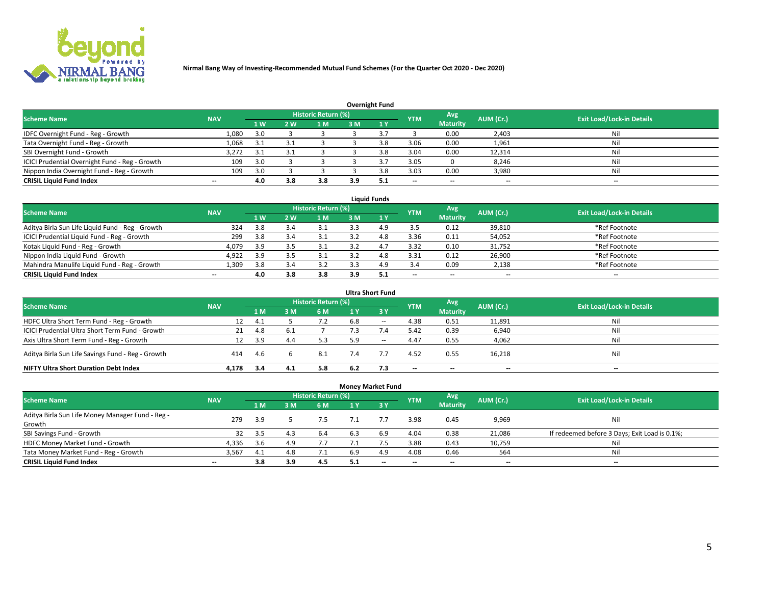

|                                                |            |     |     |                            |     | <b>Overnight Fund</b> |            |                 |           |                                  |
|------------------------------------------------|------------|-----|-----|----------------------------|-----|-----------------------|------------|-----------------|-----------|----------------------------------|
| <b>Scheme Name</b>                             | <b>NAV</b> |     |     | <b>Historic Return (%)</b> |     |                       | <b>YTM</b> | Avg             | AUM (Cr.) | <b>Exit Load/Lock-in Details</b> |
|                                                |            | 1 W | 2 W | 1 M                        | 3M  |                       |            | <b>Maturity</b> |           |                                  |
| IDFC Overnight Fund - Reg - Growth             | 1,080      | 3.0 |     |                            |     |                       |            | 0.00            | 2,403     | Nil                              |
| Tata Overnight Fund - Reg - Growth             | 1,068      | 3.1 |     |                            |     | 3.8                   | 3.06       | 0.00            | 1,961     | Nil                              |
| SBI Overnight Fund - Growth                    | 3,272      | 3.1 |     |                            |     | 3.ጸ                   | 3.04       | 0.00            | 12,314    | Nil                              |
| ICICI Prudential Overnight Fund - Reg - Growth | 109        | 3.0 |     |                            |     |                       | 3.05       |                 | 8,246     | Nil                              |
| Nippon India Overnight Fund - Reg - Growth     | 109        | 3.0 |     |                            |     | 3 R                   | 3.03       | 0.00            | 3,980     | Nil                              |
| <b>CRISIL Liquid Fund Index</b>                | $-$        | 4.0 | 3.8 | 3.8                        | 3.9 |                       | $-$        | $- -$           | $- -$     | $- -$                            |

| <b>Liquid Funds</b>                              |                          |                |     |                            |     |              |                          |                          |                          |                                  |  |  |  |  |
|--------------------------------------------------|--------------------------|----------------|-----|----------------------------|-----|--------------|--------------------------|--------------------------|--------------------------|----------------------------------|--|--|--|--|
| <b>Scheme Name</b>                               | <b>NAV</b>               |                |     | <b>Historic Return (%)</b> |     |              | <b>YTM</b>               | Avg                      | AUM (Cr.)                | <b>Exit Load/Lock-in Details</b> |  |  |  |  |
|                                                  |                          | 1 <sub>W</sub> | 2W  | 1 M                        | 3 M | $\sqrt{1}$ Y |                          | <b>Maturity</b>          |                          |                                  |  |  |  |  |
| Aditya Birla Sun Life Liquid Fund - Reg - Growth | 324                      | 3.8            | 3.4 | 3.1                        |     | 4.9          | 3.5                      | 0.12                     | 39,810                   | *Ref Footnote                    |  |  |  |  |
| ICICI Prudential Liquid Fund - Reg - Growth      | 299                      | 3.8            | 3.4 | 3.1                        |     | 4.8          | 3.36                     | 0.11                     | 54,052                   | *Ref Footnote                    |  |  |  |  |
| Kotak Liquid Fund - Reg - Growth                 | 4.079                    | 3.9            | 3.5 | 3.1                        |     | 4.7          | 3.32                     | 0.10                     | 31,752                   | *Ref Footnote                    |  |  |  |  |
| Nippon India Liquid Fund - Growth                | 4,922                    | 3.9            | 3.5 |                            |     | 4.8          | 3.31                     | 0.12                     | 26,900                   | *Ref Footnote                    |  |  |  |  |
| Mahindra Manulife Liquid Fund - Reg - Growth     | 1.309                    | 3.8            | 3.4 | 3.2                        |     | 4.9          | 3.4                      | 0.09                     | 2,138                    | *Ref Footnote                    |  |  |  |  |
| <b>CRISIL Liquid Fund Index</b>                  | $\overline{\phantom{a}}$ | 4.0            | 3.8 | 3.8                        | 3.9 | 5.1          | $\overline{\phantom{a}}$ | $\overline{\phantom{a}}$ | $\overline{\phantom{a}}$ | $-$                              |  |  |  |  |

|                                                   |            |     |     |                            |     | <b>Ultra Short Fund</b>       |                          |                          |           |                                  |
|---------------------------------------------------|------------|-----|-----|----------------------------|-----|-------------------------------|--------------------------|--------------------------|-----------|----------------------------------|
| <b>Scheme Name</b>                                | <b>NAV</b> |     |     | <b>Historic Return (%)</b> |     |                               | <b>YTM</b>               | Avg                      | AUM (Cr.) | <b>Exit Load/Lock-in Details</b> |
|                                                   |            | 1 M | 3 M | 6 M                        | 1 Y | $\overline{3}$ $\overline{Y}$ |                          | <b>Maturity</b>          |           |                                  |
| HDFC Ultra Short Term Fund - Reg - Growth         | 12         | 4.1 |     | 7.2                        | 6.8 | $\sim$                        | 4.38                     | 0.51                     | 11,891    | Nil                              |
| ICICI Prudential Ultra Short Term Fund - Growth   | 21         | 4.8 | 6.1 |                            |     |                               | 5.42                     | 0.39                     | 6,940     | Nil                              |
| Axis Ultra Short Term Fund - Reg - Growth         |            | 3.9 | 4.4 | 5.3                        | 5.9 | $-$                           | 4.47                     | 0.55                     | 4,062     | Nil                              |
| Aditya Birla Sun Life Savings Fund - Reg - Growth | 414        | 4.6 |     | 8.1                        | 7.4 |                               | 4.52                     | 0.55                     | 16,218    | Nil                              |
| <b>NIFTY Ultra Short Duration Debt Index</b>      | 4.178      | 3.4 | 4.1 | 5.8                        | 6.2 | 7.3                           | $\overline{\phantom{a}}$ | $\overline{\phantom{a}}$ | --        | $\overline{\phantom{a}}$         |

|                                                  |            |      |           |                            | <b>Money Market Fund</b> |      |                          |                 |           |                                               |
|--------------------------------------------------|------------|------|-----------|----------------------------|--------------------------|------|--------------------------|-----------------|-----------|-----------------------------------------------|
| <b>Scheme Name</b>                               | <b>NAV</b> |      |           | <b>Historic Return (%)</b> |                          |      | <b>YTM</b>               | Avg             | AUM (Cr.) | <b>Exit Load/Lock-in Details</b>              |
|                                                  |            | /1 M | <b>RM</b> | 6 M                        | 1 Y                      | -3 Y |                          | <b>Maturity</b> |           |                                               |
| Aditya Birla Sun Life Money Manager Fund - Reg - | 279        | 3.9  |           | 7.5                        |                          |      | 3.98                     | 0.45            | 9,969     | Nil                                           |
| Growth                                           |            |      |           |                            |                          |      |                          |                 |           |                                               |
| SBI Savings Fund - Growth                        | 32         | 3.5  | 4.3       | 6.4                        | 6.3                      | 6.9  | 4.04                     | 0.38            | 21,086    | If redeemed before 3 Days; Exit Load is 0.1%; |
| HDFC Money Market Fund - Growth                  | 4,336      | 3.6  | 4.9       | 7.7                        |                          |      | 3.88                     | 0.43            | 10,759    | Nil                                           |
| Tata Money Market Fund - Reg - Growth            | 3,567      | 4.1  | 4.8       | 7.1                        | 6.9                      | 4.9  | 4.08                     | 0.46            | 564       | Nil                                           |
| <b>CRISIL Liquid Fund Index</b>                  | $- -$      | 3.8  | 3.9       | 4.5                        | 5.1                      | $-$  | $\overline{\phantom{a}}$ | $- -$           | $- -$     | $-$                                           |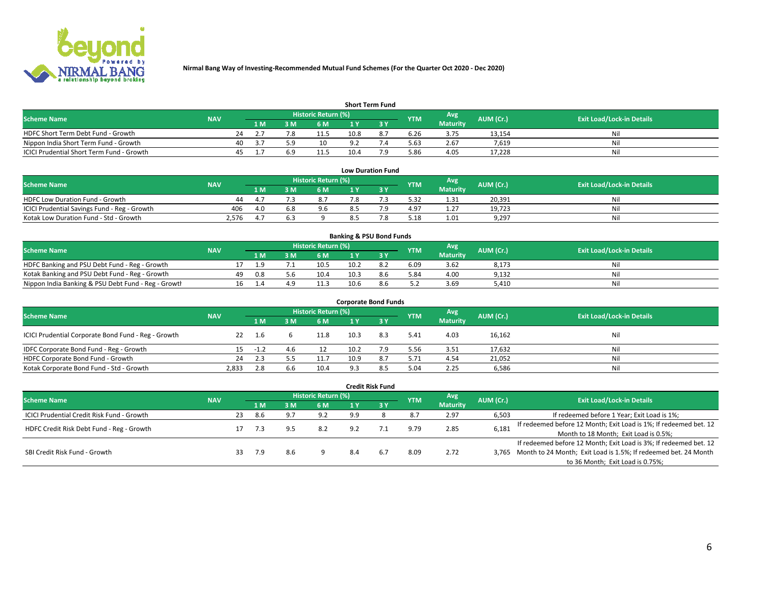

| <b>Short Term Fund</b>                    |            |     |                |     |                            |      |     |            |                 |           |                                  |  |  |  |
|-------------------------------------------|------------|-----|----------------|-----|----------------------------|------|-----|------------|-----------------|-----------|----------------------------------|--|--|--|
| <b>Scheme Name</b>                        | <b>NAV</b> |     |                |     | <b>Historic Return (%)</b> |      |     | <b>YTM</b> | Avg             | AUM (Cr.) | <b>Exit Load/Lock-in Details</b> |  |  |  |
|                                           |            |     | 1 <sub>M</sub> | 8 M | 6 M                        |      |     |            | <b>Maturity</b> |           |                                  |  |  |  |
| HDFC Short Term Debt Fund - Growth        |            | 24  |                | 7.8 | 11.5                       | 10.8 | 8.7 | 6.26       | 3.75            | 13,154    | Ni.                              |  |  |  |
| Nippon India Short Term Fund - Growth     |            | 40  | -3.7           | 50  | 10                         | ດາ   |     | 5.63       | 2.67            | 7.619     | Ni                               |  |  |  |
| ICICI Prudential Short Term Fund - Growth |            | 45. |                |     |                            | 10.4 | ם ד | 5.86       | 4.05            | 17.228    | Ni                               |  |  |  |

| <b>Low Duration Fund</b>                     |            |             |  |                                  |     |  |            |                 |           |                                  |  |  |  |
|----------------------------------------------|------------|-------------|--|----------------------------------|-----|--|------------|-----------------|-----------|----------------------------------|--|--|--|
| <b>Scheme Name</b>                           | <b>NAV</b> |             |  | Historic Return (%) <sup> </sup> |     |  | <b>YTM</b> | Avg             | AUM (Cr.) | <b>Exit Load/Lock-in Details</b> |  |  |  |
|                                              |            | 1 M         |  | 6 M                              |     |  |            | <b>Maturity</b> |           |                                  |  |  |  |
| HDFC Low Duration Fund - Growth              | 44         | $\Lambda$ 7 |  | 8.7                              | 7.8 |  | 5.32       | 1.31            | 20.391    | Nil                              |  |  |  |
| ICICI Prudential Savings Fund - Reg - Growth | 406        | 4.0         |  | 9.6                              |     |  | 4.97       | 1.27            | 19.723    | Nil                              |  |  |  |
| Kotak Low Duration Fund - Std - Growth       | 2.576      | 4.7         |  |                                  |     |  | 5.18       | 1.01            | 9,297     | Nil                              |  |  |  |

| <b>Banking &amp; PSU Bond Funds</b>                 |            |    |     |  |                     |      |     |            |                 |           |                                  |  |  |  |
|-----------------------------------------------------|------------|----|-----|--|---------------------|------|-----|------------|-----------------|-----------|----------------------------------|--|--|--|
| <b>Scheme Name</b>                                  | <b>NAV</b> |    |     |  | Historic Return (%) |      |     | <b>YTM</b> | Avg             | AUM (Cr.) | <b>Exit Load/Lock-in Details</b> |  |  |  |
|                                                     |            |    | 1 M |  | 6 M                 |      |     |            | <b>Maturity</b> |           |                                  |  |  |  |
| HDFC Banking and PSU Debt Fund - Reg - Growth       |            |    |     |  | 10.5                | 10.2 |     | 6.09       | 3.62            | 8,173     | Nil                              |  |  |  |
| Kotak Banking and PSU Debt Fund - Reg - Growth      |            | 49 | 0.8 |  | 10.4                | 10.3 | 8.6 | 5.84       | 4.00            | 9,132     | Nil                              |  |  |  |
| Nippon India Banking & PSU Debt Fund - Reg - Growth |            | 16 |     |  | 11.3                | 10.6 | 8.6 | 5.2        | 3.69            | 5.410     | Nil                              |  |  |  |

| <b>Corporate Bond Funds</b>                         |            |        |     |                            |      |           |            |                        |           |                                  |  |
|-----------------------------------------------------|------------|--------|-----|----------------------------|------|-----------|------------|------------------------|-----------|----------------------------------|--|
| <b>Scheme Name</b>                                  | <b>NAV</b> |        |     | <b>Historic Return (%)</b> |      |           | <b>YTM</b> | Avg<br><b>Maturity</b> | AUM (Cr.) | <b>Exit Load/Lock-in Details</b> |  |
|                                                     |            | 1 M    | 3 М | 6 M                        | 1 Y  | <b>RY</b> |            |                        |           |                                  |  |
| ICICI Prudential Corporate Bond Fund - Reg - Growth | 22         | 1.6    |     | 11.8                       | 10.3 | 8.3       | 5.41       | 4.03                   | 16,162    | Nil                              |  |
| IDFC Corporate Bond Fund - Reg - Growth             |            | $-1.2$ |     | 12                         | 10.2 |           | 5.56       | 3.51                   | 17,632    | Nil                              |  |
| HDFC Corporate Bond Fund - Growth                   | 24         | 2.3    |     | 11.7                       | 10.9 | 8.7       | 5.71       | 4.54                   | 21,052    | Nil                              |  |
| Kotak Corporate Bond Fund - Std - Growth            | 2.833      | 2.8    | 6.6 | 10.4                       | Q 3  | 8.5       | 5.04       | 2.25                   | 6,586     | Nil                              |  |

| <b>Credit Risk Fund</b>                    |            |    |                                          |     |                     |                                       |     |            |                 |           |                                                                       |
|--------------------------------------------|------------|----|------------------------------------------|-----|---------------------|---------------------------------------|-----|------------|-----------------|-----------|-----------------------------------------------------------------------|
| <b>Scheme Name</b>                         | <b>NAV</b> |    |                                          |     | Historic Return (%) |                                       |     | <b>YTM</b> | Avg             | AUM (Cr.) | <b>Exit Load/Lock-in Details</b>                                      |
|                                            |            |    | 1 M                                      | 3 M | 6 M                 |                                       | '3V |            | <b>Maturity</b> |           |                                                                       |
| ICICI Prudential Credit Risk Fund - Growth |            | 23 | -8.6                                     | 9.7 | 9.2                 | 9.9                                   |     | 8.7        | 2.97            | 6,503     | If redeemed before 1 Year; Exit Load is 1%;                           |
| HDFC Credit Risk Debt Fund - Reg - Growth  |            |    | 2.85<br>8.2<br>9.79<br>9.5<br>9.2<br>7.3 |     |                     |                                       |     |            |                 | 6,181     | If redeemed before 12 Month; Exit Load is 1%; If redeemed bet. 12     |
|                                            |            |    |                                          |     |                     | Month to 18 Month; Exit Load is 0.5%; |     |            |                 |           |                                                                       |
| SBI Credit Risk Fund - Growth              |            |    |                                          |     |                     |                                       |     |            |                 |           | If redeemed before 12 Month; Exit Load is 3%; If redeemed bet. 12     |
|                                            |            | 33 | 7.9                                      | 8.6 |                     | 8.4                                   | 6.7 | 8.09       | 2.72            |           | 3,765 Month to 24 Month; Exit Load is 1.5%; If redeemed bet. 24 Month |
|                                            |            |    |                                          |     |                     |                                       |     |            |                 |           | to 36 Month; Exit Load is 0.75%;                                      |